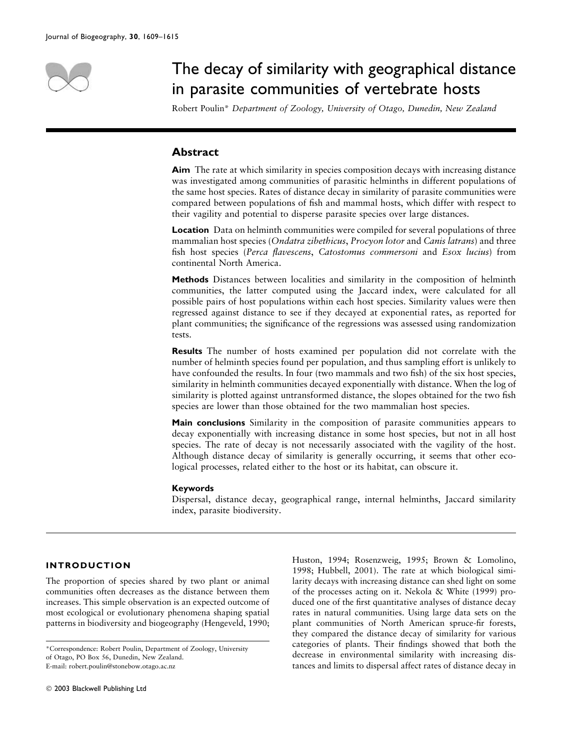

# The decay of similarity with geographical distance in parasite communities of vertebrate hosts

Robert Poulin\* Department of Zoology, University of Otago, Dunedin, New Zealand

# **Abstract**

Aim The rate at which similarity in species composition decays with increasing distance was investigated among communities of parasitic helminths in different populations of the same host species. Rates of distance decay in similarity of parasite communities were compared between populations of fish and mammal hosts, which differ with respect to their vagility and potential to disperse parasite species over large distances.

**Location** Data on helminth communities were compiled for several populations of three mammalian host species (Ondatra zibethicus, Procyon lotor and Canis latrans) and three fish host species (Perca flavescens, Catostomus commersoni and Esox lucius) from continental North America.

Methods Distances between localities and similarity in the composition of helminth communities, the latter computed using the Jaccard index, were calculated for all possible pairs of host populations within each host species. Similarity values were then regressed against distance to see if they decayed at exponential rates, as reported for plant communities; the significance of the regressions was assessed using randomization tests.

Results The number of hosts examined per population did not correlate with the number of helminth species found per population, and thus sampling effort is unlikely to have confounded the results. In four (two mammals and two fish) of the six host species, similarity in helminth communities decayed exponentially with distance. When the log of similarity is plotted against untransformed distance, the slopes obtained for the two fish species are lower than those obtained for the two mammalian host species.

Main conclusions Similarity in the composition of parasite communities appears to decay exponentially with increasing distance in some host species, but not in all host species. The rate of decay is not necessarily associated with the vagility of the host. Although distance decay of similarity is generally occurring, it seems that other ecological processes, related either to the host or its habitat, can obscure it.

# Keywords

Dispersal, distance decay, geographical range, internal helminths, Jaccard similarity index, parasite biodiversity.

# INTRODUCTION

The proportion of species shared by two plant or animal communities often decreases as the distance between them increases. This simple observation is an expected outcome of most ecological or evolutionary phenomena shaping spatial patterns in biodiversity and biogeography (Hengeveld, 1990;

Huston, 1994; Rosenzweig, 1995; Brown & Lomolino, 1998; Hubbell, 2001). The rate at which biological similarity decays with increasing distance can shed light on some of the processes acting on it. Nekola & White (1999) produced one of the first quantitative analyses of distance decay rates in natural communities. Using large data sets on the plant communities of North American spruce-fir forests, they compared the distance decay of similarity for various categories of plants. Their findings showed that both the decrease in environmental similarity with increasing distances and limits to dispersal affect rates of distance decay in

<sup>\*</sup>Correspondence: Robert Poulin, Department of Zoology, University of Otago, PO Box 56, Dunedin, New Zealand. E-mail: robert.poulin@stonebow.otago.ac.nz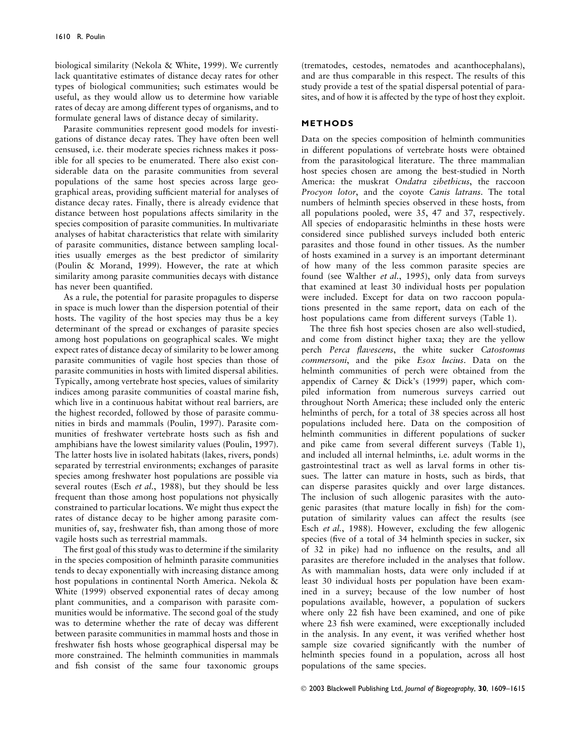biological similarity (Nekola & White, 1999). We currently lack quantitative estimates of distance decay rates for other types of biological communities; such estimates would be useful, as they would allow us to determine how variable rates of decay are among different types of organisms, and to formulate general laws of distance decay of similarity.

Parasite communities represent good models for investigations of distance decay rates. They have often been well censused, i.e. their moderate species richness makes it possible for all species to be enumerated. There also exist considerable data on the parasite communities from several populations of the same host species across large geographical areas, providing sufficient material for analyses of distance decay rates. Finally, there is already evidence that distance between host populations affects similarity in the species composition of parasite communities. In multivariate analyses of habitat characteristics that relate with similarity of parasite communities, distance between sampling localities usually emerges as the best predictor of similarity (Poulin & Morand, 1999). However, the rate at which similarity among parasite communities decays with distance has never been quantified.

As a rule, the potential for parasite propagules to disperse in space is much lower than the dispersion potential of their hosts. The vagility of the host species may thus be a key determinant of the spread or exchanges of parasite species among host populations on geographical scales. We might expect rates of distance decay of similarity to be lower among parasite communities of vagile host species than those of parasite communities in hosts with limited dispersal abilities. Typically, among vertebrate host species, values of similarity indices among parasite communities of coastal marine fish, which live in a continuous habitat without real barriers, are the highest recorded, followed by those of parasite communities in birds and mammals (Poulin, 1997). Parasite communities of freshwater vertebrate hosts such as fish and amphibians have the lowest similarity values (Poulin, 1997). The latter hosts live in isolated habitats (lakes, rivers, ponds) separated by terrestrial environments; exchanges of parasite species among freshwater host populations are possible via several routes (Esch et al., 1988), but they should be less frequent than those among host populations not physically constrained to particular locations. We might thus expect the rates of distance decay to be higher among parasite communities of, say, freshwater fish, than among those of more vagile hosts such as terrestrial mammals.

The first goal of this study was to determine if the similarity in the species composition of helminth parasite communities tends to decay exponentially with increasing distance among host populations in continental North America. Nekola & White (1999) observed exponential rates of decay among plant communities, and a comparison with parasite communities would be informative. The second goal of the study was to determine whether the rate of decay was different between parasite communities in mammal hosts and those in freshwater fish hosts whose geographical dispersal may be more constrained. The helminth communities in mammals and fish consist of the same four taxonomic groups

(trematodes, cestodes, nematodes and acanthocephalans), and are thus comparable in this respect. The results of this study provide a test of the spatial dispersal potential of parasites, and of how it is affected by the type of host they exploit.

### METHODS

Data on the species composition of helminth communities in different populations of vertebrate hosts were obtained from the parasitological literature. The three mammalian host species chosen are among the best-studied in North America: the muskrat Ondatra zibethicus, the raccoon Procyon lotor, and the coyote Canis latrans. The total numbers of helminth species observed in these hosts, from all populations pooled, were 35, 47 and 37, respectively. All species of endoparasitic helminths in these hosts were considered since published surveys included both enteric parasites and those found in other tissues. As the number of hosts examined in a survey is an important determinant of how many of the less common parasite species are found (see Walther et al., 1995), only data from surveys that examined at least 30 individual hosts per population were included. Except for data on two raccoon populations presented in the same report, data on each of the host populations came from different surveys (Table 1).

The three fish host species chosen are also well-studied, and come from distinct higher taxa; they are the yellow perch Perca flavescens, the white sucker Catostomus commersoni, and the pike Esox lucius. Data on the helminth communities of perch were obtained from the appendix of Carney & Dick's (1999) paper, which compiled information from numerous surveys carried out throughout North America; these included only the enteric helminths of perch, for a total of 38 species across all host populations included here. Data on the composition of helminth communities in different populations of sucker and pike came from several different surveys (Table 1), and included all internal helminths, i.e. adult worms in the gastrointestinal tract as well as larval forms in other tissues. The latter can mature in hosts, such as birds, that can disperse parasites quickly and over large distances. The inclusion of such allogenic parasites with the autogenic parasites (that mature locally in fish) for the computation of similarity values can affect the results (see Esch et al., 1988). However, excluding the few allogenic species (five of a total of 34 helminth species in sucker, six of 32 in pike) had no influence on the results, and all parasites are therefore included in the analyses that follow. As with mammalian hosts, data were only included if at least 30 individual hosts per population have been examined in a survey; because of the low number of host populations available, however, a population of suckers where only 22 fish have been examined, and one of pike where 23 fish were examined, were exceptionally included in the analysis. In any event, it was verified whether host sample size covaried significantly with the number of helminth species found in a population, across all host populations of the same species.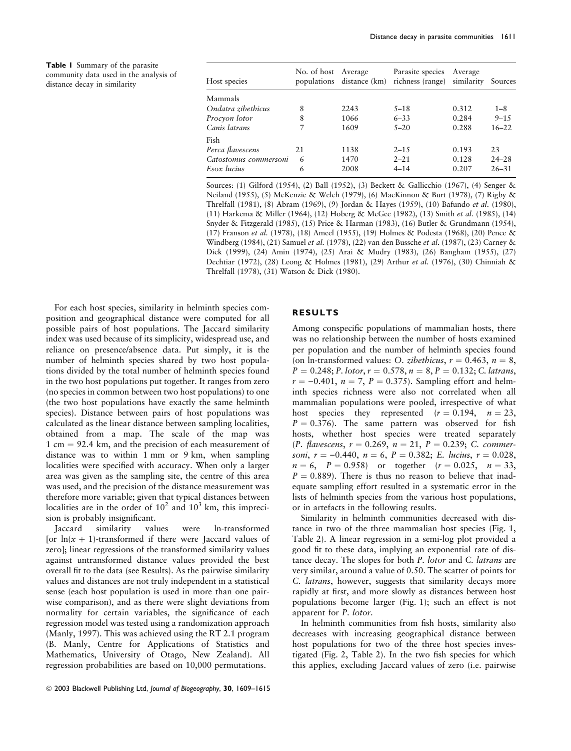Table 1 Summary of the parasite community data used in the analysis of distance decay in similarity

| Host species          | No. of host Average | populations distance (km) | Parasite species<br>richness (range) similarity | Average | Sources   |
|-----------------------|---------------------|---------------------------|-------------------------------------------------|---------|-----------|
| Mammals               |                     |                           |                                                 |         |           |
| Ondatra zibethicus    | 8                   | 2243                      | $5 - 18$                                        | 0.312   | $1 - 8$   |
| Procyon lotor         | 8                   | 1066                      | $6 - 33$                                        | 0.284   | $9 - 15$  |
| Canis latrans         | 7                   | 1609                      | $5 - 20$                                        | 0.288   | $16 - 22$ |
| Fish                  |                     |                           |                                                 |         |           |
| Perca flavescens      | 21                  | 1138                      | $2 - 1.5$                                       | 0.193   | 23        |
| Catostomus commersoni | 6                   | 1470                      | $2 - 21$                                        | 0.128   | $24 - 28$ |
| Esox lucius           | 6                   | 2008                      | $4 - 14$                                        | 0.207   | $26 - 31$ |

Sources: (1) Gilford (1954), (2) Ball (1952), (3) Beckett & Gallicchio (1967), (4) Senger & Neiland (1955), (5) McKenzie & Welch (1979), (6) MacKinnon & Burt (1978), (7) Rigby & Threlfall (1981), (8) Abram (1969), (9) Jordan & Hayes (1959), (10) Bafundo et al. (1980), (11) Harkema & Miller (1964), (12) Hoberg & McGee (1982), (13) Smith et al. (1985), (14) Snyder & Fitzgerald (1985), (15) Price & Harman (1983), (16) Butler & Grundmann (1954), (17) Franson et al. (1978), (18) Ameel (1955), (19) Holmes & Podesta (1968), (20) Pence & Windberg (1984), (21) Samuel et al. (1978), (22) van den Bussche et al. (1987), (23) Carney & Dick (1999), (24) Amin (1974), (25) Arai & Mudry (1983), (26) Bangham (1955), (27) Dechtiar (1972), (28) Leong & Holmes (1981), (29) Arthur et al. (1976), (30) Chinniah & Threlfall (1978), (31) Watson & Dick (1980).

For each host species, similarity in helminth species composition and geographical distance were computed for all possible pairs of host populations. The Jaccard similarity index was used because of its simplicity, widespread use, and reliance on presence/absence data. Put simply, it is the number of helminth species shared by two host populations divided by the total number of helminth species found in the two host populations put together. It ranges from zero (no species in common between two host populations) to one (the two host populations have exactly the same helminth species). Distance between pairs of host populations was calculated as the linear distance between sampling localities, obtained from a map. The scale of the map was 1 cm  $= 92.4$  km, and the precision of each measurement of distance was to within 1 mm or 9 km, when sampling localities were specified with accuracy. When only a larger area was given as the sampling site, the centre of this area was used, and the precision of the distance measurement was therefore more variable; given that typical distances between localities are in the order of  $10^2$  and  $10^3$  km, this imprecision is probably insignificant.

Jaccard similarity values were ln-transformed [or  $ln(x + 1)$ -transformed if there were Jaccard values of zero]; linear regressions of the transformed similarity values against untransformed distance values provided the best overall fit to the data (see Results). As the pairwise similarity values and distances are not truly independent in a statistical sense (each host population is used in more than one pairwise comparison), and as there were slight deviations from normality for certain variables, the significance of each regression model was tested using a randomization approach (Manly, 1997). This was achieved using the RT 2.1 program (B. Manly, Centre for Applications of Statistics and Mathematics, University of Otago, New Zealand). All regression probabilities are based on 10,000 permutations.

#### RESULTS

Among conspecific populations of mammalian hosts, there was no relationship between the number of hosts examined per population and the number of helminth species found (on ln-transformed values: O. *zibethicus*,  $r = 0.463$ ,  $n = 8$ ,  $P = 0.248; P.$  lotor,  $r = 0.578, n = 8, P = 0.132; C.$  latrans,  $r = -0.401$ ,  $n = 7$ ,  $P = 0.375$ ). Sampling effort and helminth species richness were also not correlated when all mammalian populations were pooled, irrespective of what host species they represented  $(r = 0.194, n = 23,$  $P = 0.376$ . The same pattern was observed for fish hosts, whether host species were treated separately (P. flavescens,  $r = 0.269$ ,  $n = 21$ ,  $P = 0.239$ ; C. commersoni,  $r = -0.440$ ,  $n = 6$ ,  $P = 0.382$ ; E. lucius,  $r = 0.028$ ,  $n = 6$ ,  $P = 0.958$ ) or together  $(r = 0.025, n = 33)$  $P = 0.889$ . There is thus no reason to believe that inadequate sampling effort resulted in a systematic error in the lists of helminth species from the various host populations, or in artefacts in the following results.

Similarity in helminth communities decreased with distance in two of the three mammalian host species (Fig. 1, Table 2). A linear regression in a semi-log plot provided a good fit to these data, implying an exponential rate of distance decay. The slopes for both P. lotor and C. latrans are very similar, around a value of 0.50. The scatter of points for C. latrans, however, suggests that similarity decays more rapidly at first, and more slowly as distances between host populations become larger (Fig. 1); such an effect is not apparent for P. lotor.

In helminth communities from fish hosts, similarity also decreases with increasing geographical distance between host populations for two of the three host species investigated (Fig. 2, Table 2). In the two fish species for which this applies, excluding Jaccard values of zero (i.e. pairwise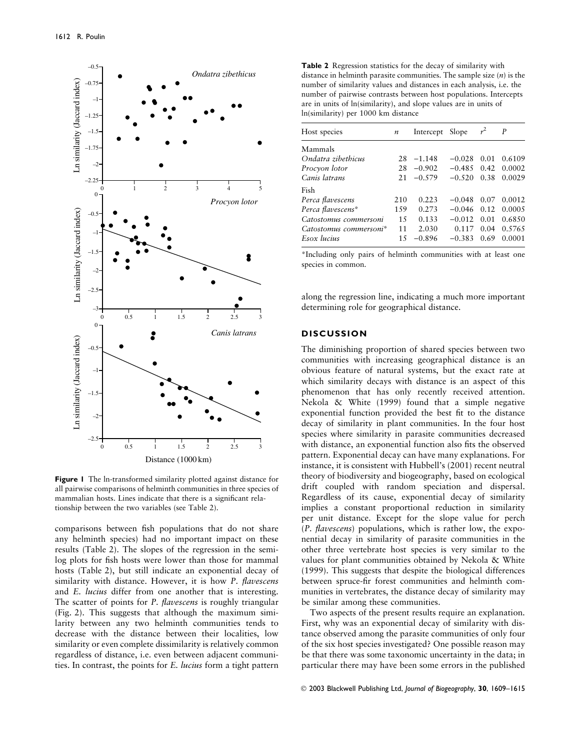

Figure 1 The ln-transformed similarity plotted against distance for all pairwise comparisons of helminth communities in three species of mammalian hosts. Lines indicate that there is a significant relationship between the two variables (see Table 2).

comparisons between fish populations that do not share any helminth species) had no important impact on these results (Table 2). The slopes of the regression in the semilog plots for fish hosts were lower than those for mammal hosts (Table 2), but still indicate an exponential decay of similarity with distance. However, it is how P. *flavescens* and E. lucius differ from one another that is interesting. The scatter of points for P. *flavescens* is roughly triangular (Fig. 2). This suggests that although the maximum similarity between any two helminth communities tends to decrease with the distance between their localities, low similarity or even complete dissimilarity is relatively common regardless of distance, i.e. even between adjacent communities. In contrast, the points for E. lucius form a tight pattern

Table 2 Regression statistics for the decay of similarity with distance in helminth parasite communities. The sample size  $(n)$  is the number of similarity values and distances in each analysis, i.e. the number of pairwise contrasts between host populations. Intercepts are in units of ln(similarity), and slope values are in units of ln(similarity) per 1000 km distance

| Host species           | $\boldsymbol{n}$ | Intercept Slope |          | $r^2$ | P      |
|------------------------|------------------|-----------------|----------|-------|--------|
| Mammals                |                  |                 |          |       |        |
| Ondatra zibethicus     | 28               | $-1.148$        | $-0.028$ | 0.01  | 0.6109 |
| Procyon lotor          | 28               | $-0.902$        | $-0.485$ | 0.42  | 0.0002 |
| Canis latrans          | 2.1              | $-0.579$        | $-0.520$ | 0.38  | 0.0029 |
| Fish                   |                  |                 |          |       |        |
| Perca flavescens       | 210              | 0.223           | $-0.048$ | 0.07  | 0.0012 |
| Perca flavescens*      | 159              | 0.273           | $-0.046$ | 0.12  | 0.0005 |
| Catostomus commersoni  | 1.5              | 0.133           | $-0.012$ | 0.01  | 0.6850 |
| Catostomus commersoni* | 11               | 2.030           | 0.117    | 0.04  | 0.5765 |
| Esox lucius            | 15               | $-0.896$        | $-0.383$ | 0.69  | 0.0001 |

\*Including only pairs of helminth communities with at least one species in common.

along the regression line, indicating a much more important determining role for geographical distance.

# **DISCUSSION**

The diminishing proportion of shared species between two communities with increasing geographical distance is an obvious feature of natural systems, but the exact rate at which similarity decays with distance is an aspect of this phenomenon that has only recently received attention. Nekola & White (1999) found that a simple negative exponential function provided the best fit to the distance decay of similarity in plant communities. In the four host species where similarity in parasite communities decreased with distance, an exponential function also fits the observed pattern. Exponential decay can have many explanations. For instance, it is consistent with Hubbell's (2001) recent neutral theory of biodiversity and biogeography, based on ecological drift coupled with random speciation and dispersal. Regardless of its cause, exponential decay of similarity implies a constant proportional reduction in similarity per unit distance. Except for the slope value for perch (P. flavescens) populations, which is rather low, the exponential decay in similarity of parasite communities in the other three vertebrate host species is very similar to the values for plant communities obtained by Nekola & White (1999). This suggests that despite the biological differences between spruce-fir forest communities and helminth communities in vertebrates, the distance decay of similarity may be similar among these communities.

Two aspects of the present results require an explanation. First, why was an exponential decay of similarity with distance observed among the parasite communities of only four of the six host species investigated? One possible reason may be that there was some taxonomic uncertainty in the data; in particular there may have been some errors in the published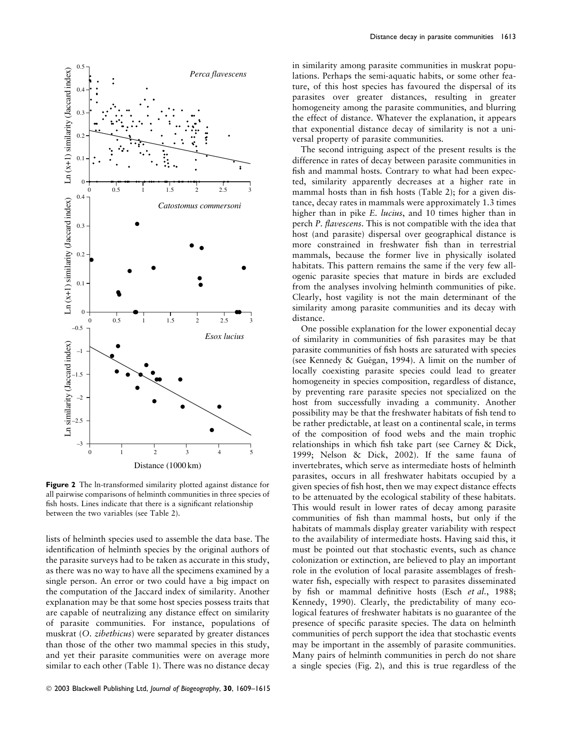

Figure 2 The ln-transformed similarity plotted against distance for all pairwise comparisons of helminth communities in three species of fish hosts. Lines indicate that there is a significant relationship between the two variables (see Table 2).

lists of helminth species used to assemble the data base. The identification of helminth species by the original authors of the parasite surveys had to be taken as accurate in this study, as there was no way to have all the specimens examined by a single person. An error or two could have a big impact on the computation of the Jaccard index of similarity. Another explanation may be that some host species possess traits that are capable of neutralizing any distance effect on similarity of parasite communities. For instance, populations of muskrat (O. zibethicus) were separated by greater distances than those of the other two mammal species in this study, and yet their parasite communities were on average more similar to each other (Table 1). There was no distance decay

in similarity among parasite communities in muskrat populations. Perhaps the semi-aquatic habits, or some other feature, of this host species has favoured the dispersal of its parasites over greater distances, resulting in greater homogeneity among the parasite communities, and blurring the effect of distance. Whatever the explanation, it appears that exponential distance decay of similarity is not a universal property of parasite communities.

The second intriguing aspect of the present results is the difference in rates of decay between parasite communities in fish and mammal hosts. Contrary to what had been expected, similarity apparently decreases at a higher rate in mammal hosts than in fish hosts (Table 2); for a given distance, decay rates in mammals were approximately 1.3 times higher than in pike *E. lucius*, and 10 times higher than in perch P. flavescens. This is not compatible with the idea that host (and parasite) dispersal over geographical distance is more constrained in freshwater fish than in terrestrial mammals, because the former live in physically isolated habitats. This pattern remains the same if the very few allogenic parasite species that mature in birds are excluded from the analyses involving helminth communities of pike. Clearly, host vagility is not the main determinant of the similarity among parasite communities and its decay with distance.

One possible explanation for the lower exponential decay of similarity in communities of fish parasites may be that parasite communities of fish hosts are saturated with species (see Kennedy  $& Guégan, 1994$ ). A limit on the number of locally coexisting parasite species could lead to greater homogeneity in species composition, regardless of distance, by preventing rare parasite species not specialized on the host from successfully invading a community. Another possibility may be that the freshwater habitats of fish tend to be rather predictable, at least on a continental scale, in terms of the composition of food webs and the main trophic relationships in which fish take part (see Carney & Dick, 1999; Nelson & Dick, 2002). If the same fauna of invertebrates, which serve as intermediate hosts of helminth parasites, occurs in all freshwater habitats occupied by a given species of fish host, then we may expect distance effects to be attenuated by the ecological stability of these habitats. This would result in lower rates of decay among parasite communities of fish than mammal hosts, but only if the habitats of mammals display greater variability with respect to the availability of intermediate hosts. Having said this, it must be pointed out that stochastic events, such as chance colonization or extinction, are believed to play an important role in the evolution of local parasite assemblages of freshwater fish, especially with respect to parasites disseminated by fish or mammal definitive hosts (Esch et al., 1988; Kennedy, 1990). Clearly, the predictability of many ecological features of freshwater habitats is no guarantee of the presence of specific parasite species. The data on helminth communities of perch support the idea that stochastic events may be important in the assembly of parasite communities. Many pairs of helminth communities in perch do not share a single species (Fig. 2), and this is true regardless of the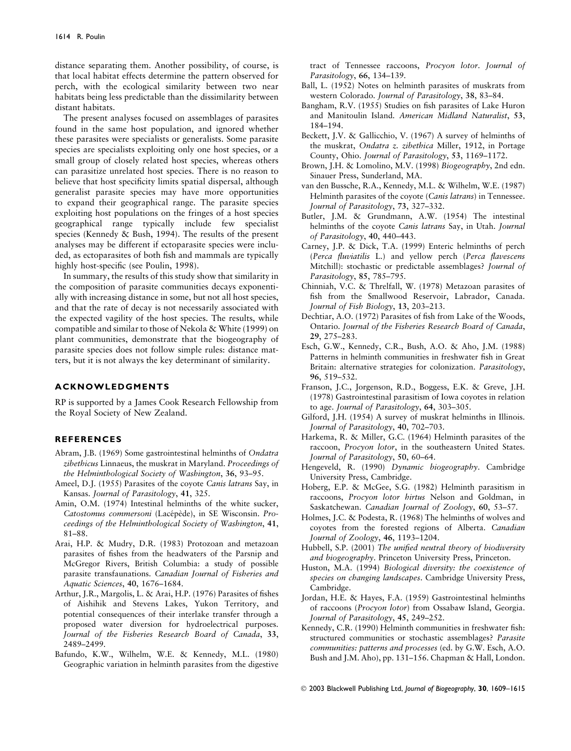distance separating them. Another possibility, of course, is that local habitat effects determine the pattern observed for perch, with the ecological similarity between two near habitats being less predictable than the dissimilarity between distant habitats.

The present analyses focused on assemblages of parasites found in the same host population, and ignored whether these parasites were specialists or generalists. Some parasite species are specialists exploiting only one host species, or a small group of closely related host species, whereas others can parasitize unrelated host species. There is no reason to believe that host specificity limits spatial dispersal, although generalist parasite species may have more opportunities to expand their geographical range. The parasite species exploiting host populations on the fringes of a host species geographical range typically include few specialist species (Kennedy & Bush, 1994). The results of the present analyses may be different if ectoparasite species were included, as ectoparasites of both fish and mammals are typically highly host-specific (see Poulin, 1998).

In summary, the results of this study show that similarity in the composition of parasite communities decays exponentially with increasing distance in some, but not all host species, and that the rate of decay is not necessarily associated with the expected vagility of the host species. The results, while compatible and similar to those of Nekola & White (1999) on plant communities, demonstrate that the biogeography of parasite species does not follow simple rules: distance matters, but it is not always the key determinant of similarity.

#### ACKNOWLEDGMENTS

RP is supported by a James Cook Research Fellowship from the Royal Society of New Zealand.

#### REFERENCES

- Abram, I.B. (1969) Some gastrointestinal helminths of Ondatra zibethicus Linnaeus, the muskrat in Maryland. Proceedings of the Helminthological Society of Washington, 36, 93–95.
- Ameel, D.J. (1955) Parasites of the coyote Canis latrans Say, in Kansas. Journal of Parasitology, 41, 325.
- Amin, O.M. (1974) Intestinal helminths of the white sucker, Catostomus commersoni (Lacépède), in SE Wisconsin. Proceedings of the Helminthological Society of Washington, 41, 81–88.
- Arai, H.P. & Mudry, D.R. (1983) Protozoan and metazoan parasites of fishes from the headwaters of the Parsnip and McGregor Rivers, British Columbia: a study of possible parasite transfaunations. Canadian Journal of Fisheries and Aquatic Sciences, 40, 1676–1684.
- Arthur, J.R., Margolis, L. & Arai, H.P. (1976) Parasites of fishes of Aishihik and Stevens Lakes, Yukon Territory, and potential consequences of their interlake transfer through a proposed water diversion for hydroelectrical purposes. Journal of the Fisheries Research Board of Canada, 33, 2489–2499.
- Bafundo, K.W., Wilhelm, W.E. & Kennedy, M.L. (1980) Geographic variation in helminth parasites from the digestive

tract of Tennessee raccoons, Procyon lotor. Journal of Parasitology, 66, 134–139.

- Ball, L. (1952) Notes on helminth parasites of muskrats from western Colorado. Journal of Parasitology, 38, 83–84.
- Bangham, R.V. (1955) Studies on fish parasites of Lake Huron and Manitoulin Island. American Midland Naturalist, 53, 184–194.
- Beckett, J.V. & Gallicchio, V. (1967) A survey of helminths of the muskrat, Ondatra z. zibethica Miller, 1912, in Portage County, Ohio. Journal of Parasitology, 53, 1169–1172.
- Brown, J.H. & Lomolino, M.V. (1998) Biogeography, 2nd edn. Sinauer Press, Sunderland, MA.
- van den Bussche, R.A., Kennedy, M.L. & Wilhelm, W.E. (1987) Helminth parasites of the coyote (Canis latrans) in Tennessee. Journal of Parasitology, 73, 327–332.
- Butler, J.M. & Grundmann, A.W. (1954) The intestinal helminths of the coyote Canis latrans Say, in Utah. Journal of Parasitology, 40, 440–443.
- Carney, J.P. & Dick, T.A. (1999) Enteric helminths of perch (Perca fluviatilis L.) and yellow perch (Perca flavescens Mitchill): stochastic or predictable assemblages? Journal of Parasitology, 85, 785–795.
- Chinniah, V.C. & Threlfall, W. (1978) Metazoan parasites of fish from the Smallwood Reservoir, Labrador, Canada. Journal of Fish Biology, 13, 203–213.
- Dechtiar, A.O. (1972) Parasites of fish from Lake of the Woods, Ontario. Journal of the Fisheries Research Board of Canada, 29, 275–283.
- Esch, G.W., Kennedy, C.R., Bush, A.O. & Aho, J.M. (1988) Patterns in helminth communities in freshwater fish in Great Britain: alternative strategies for colonization. Parasitology, 96, 519–532.
- Franson, J.C., Jorgenson, R.D., Boggess, E.K. & Greve, J.H. (1978) Gastrointestinal parasitism of Iowa coyotes in relation to age. Journal of Parasitology, 64, 303–305.
- Gilford, J.H. (1954) A survey of muskrat helminths in Illinois. Journal of Parasitology, 40, 702–703.
- Harkema, R. & Miller, G.C. (1964) Helminth parasites of the raccoon, Procyon lotor, in the southeastern United States. Journal of Parasitology, 50, 60–64.
- Hengeveld, R. (1990) Dynamic biogeography. Cambridge University Press, Cambridge.
- Hoberg, E.P. & McGee, S.G. (1982) Helminth parasitism in raccoons, Procyon lotor hirtus Nelson and Goldman, in Saskatchewan. Canadian Journal of Zoology, 60, 53–57.
- Holmes, J.C. & Podesta, R. (1968) The helminths of wolves and coyotes from the forested regions of Alberta. Canadian Journal of Zoology, 46, 1193–1204.
- Hubbell, S.P. (2001) The unified neutral theory of biodiversity and biogeography. Princeton University Press, Princeton.
- Huston, M.A. (1994) Biological diversity: the coexistence of species on changing landscapes. Cambridge University Press, Cambridge.
- Jordan, H.E. & Hayes, F.A. (1959) Gastrointestinal helminths of raccoons (Procyon lotor) from Ossabaw Island, Georgia. Journal of Parasitology, 45, 249–252.
- Kennedy, C.R. (1990) Helminth communities in freshwater fish: structured communities or stochastic assemblages? Parasite communities: patterns and processes (ed. by G.W. Esch, A.O. Bush and J.M. Aho), pp. 131–156. Chapman & Hall, London.

2003 Blackwell Publishing Ltd, Journal of Biogeography, 30, 1609–1615